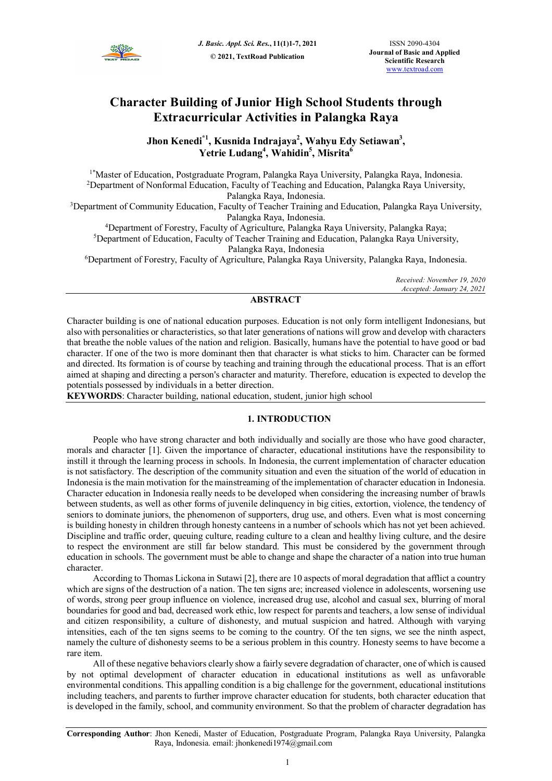

# **Character Building of Junior High School Students through Extracurricular Activities in Palangka Raya**

**Jhon Kenedi\*1, Kusnida Indrajaya<sup>2</sup> , Wahyu Edy Setiawan<sup>3</sup> , Yetrie Ludang<sup>4</sup> , Wahidin<sup>5</sup> , Misrita<sup>6</sup>**

1\*Master of Education, Postgraduate Program, Palangka Raya University, Palangka Raya, Indonesia. <sup>2</sup>Department of Nonformal Education, Faculty of Teaching and Education, Palangka Raya University, Palangka Raya, Indonesia.

<sup>3</sup>Department of Community Education, Faculty of Teacher Training and Education, Palangka Raya University, Palangka Raya, Indonesia.

<sup>4</sup>Department of Forestry, Faculty of Agriculture, Palangka Raya University, Palangka Raya;

<sup>5</sup>Department of Education, Faculty of Teacher Training and Education, Palangka Raya University, Palangka Raya, Indonesia

<sup>6</sup>Department of Forestry, Faculty of Agriculture, Palangka Raya University, Palangka Raya, Indonesia.

*Received: November 19, 2020 Accepted: January 24, 2021* 

# **ABSTRACT**

Character building is one of national education purposes. Education is not only form intelligent Indonesians, but also with personalities or characteristics, so that later generations of nations will grow and develop with characters that breathe the noble values of the nation and religion. Basically, humans have the potential to have good or bad character. If one of the two is more dominant then that character is what sticks to him. Character can be formed and directed. Its formation is of course by teaching and training through the educational process. That is an effort aimed at shaping and directing a person's character and maturity. Therefore, education is expected to develop the potentials possessed by individuals in a better direction.

**KEYWORDS**: Character building, national education, student, junior high school

# **1. INTRODUCTION**

People who have strong character and both individually and socially are those who have good character, morals and character [1]. Given the importance of character, educational institutions have the responsibility to instill it through the learning process in schools. In Indonesia, the current implementation of character education is not satisfactory. The description of the community situation and even the situation of the world of education in Indonesia is the main motivation for the mainstreaming of the implementation of character education in Indonesia. Character education in Indonesia really needs to be developed when considering the increasing number of brawls between students, as well as other forms of juvenile delinquency in big cities, extortion, violence, the tendency of seniors to dominate juniors, the phenomenon of supporters, drug use, and others. Even what is most concerning is building honesty in children through honesty canteens in a number of schools which has not yet been achieved. Discipline and traffic order, queuing culture, reading culture to a clean and healthy living culture, and the desire to respect the environment are still far below standard. This must be considered by the government through education in schools. The government must be able to change and shape the character of a nation into true human character.

According to Thomas Lickona in Sutawi [2], there are 10 aspects of moral degradation that afflict a country which are signs of the destruction of a nation. The ten signs are; increased violence in adolescents, worsening use of words, strong peer group influence on violence, increased drug use, alcohol and casual sex, blurring of moral boundaries for good and bad, decreased work ethic, low respect for parents and teachers, a low sense of individual and citizen responsibility, a culture of dishonesty, and mutual suspicion and hatred. Although with varying intensities, each of the ten signs seems to be coming to the country. Of the ten signs, we see the ninth aspect, namely the culture of dishonesty seems to be a serious problem in this country. Honesty seems to have become a rare item.

All of these negative behaviors clearly show a fairly severe degradation of character, one of which is caused by not optimal development of character education in educational institutions as well as unfavorable environmental conditions. This appalling condition is a big challenge for the government, educational institutions including teachers, and parents to further improve character education for students, both character education that is developed in the family, school, and community environment. So that the problem of character degradation has

**Corresponding Author**: Jhon Kenedi, Master of Education, Postgraduate Program, Palangka Raya University, Palangka Raya, Indonesia. email: jhonkenedi1974@gmail.com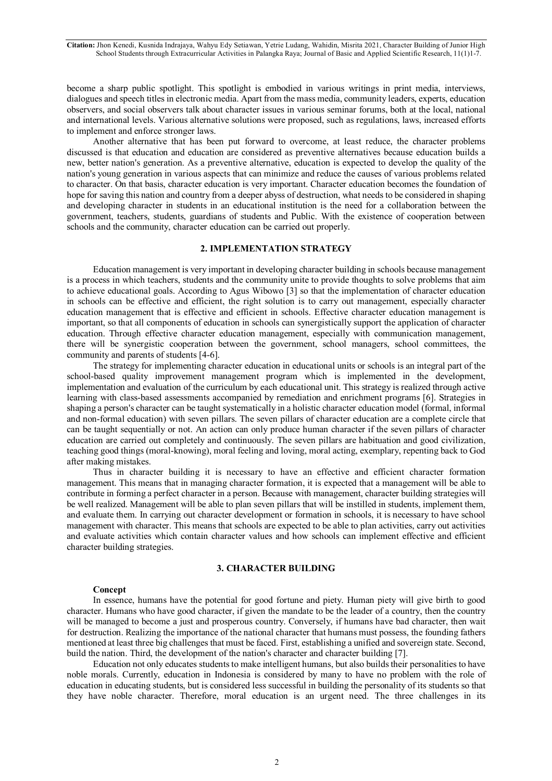**Citation:** Jhon Kenedi, Kusnida Indrajaya, Wahyu Edy Setiawan, Yetrie Ludang, Wahidin, Misrita 2021, Character Building of Junior High School Students through Extracurricular Activities in Palangka Raya; Journal of Basic and Applied Scientific Research, 11(1)1-7.

become a sharp public spotlight. This spotlight is embodied in various writings in print media, interviews, dialogues and speech titles in electronic media. Apart from the mass media, community leaders, experts, education observers, and social observers talk about character issues in various seminar forums, both at the local, national and international levels. Various alternative solutions were proposed, such as regulations, laws, increased efforts to implement and enforce stronger laws.

Another alternative that has been put forward to overcome, at least reduce, the character problems discussed is that education and education are considered as preventive alternatives because education builds a new, better nation's generation. As a preventive alternative, education is expected to develop the quality of the nation's young generation in various aspects that can minimize and reduce the causes of various problems related to character. On that basis, character education is very important. Character education becomes the foundation of hope for saving this nation and country from a deeper abyss of destruction, what needs to be considered in shaping and developing character in students in an educational institution is the need for a collaboration between the government, teachers, students, guardians of students and Public. With the existence of cooperation between schools and the community, character education can be carried out properly.

# **2. IMPLEMENTATION STRATEGY**

Education management is very important in developing character building in schools because management is a process in which teachers, students and the community unite to provide thoughts to solve problems that aim to achieve educational goals. According to Agus Wibowo [3] so that the implementation of character education in schools can be effective and efficient, the right solution is to carry out management, especially character education management that is effective and efficient in schools. Effective character education management is important, so that all components of education in schools can synergistically support the application of character education. Through effective character education management, especially with communication management, there will be synergistic cooperation between the government, school managers, school committees, the community and parents of students [4-6].

The strategy for implementing character education in educational units or schools is an integral part of the school-based quality improvement management program which is implemented in the development, implementation and evaluation of the curriculum by each educational unit. This strategy is realized through active learning with class-based assessments accompanied by remediation and enrichment programs [6]. Strategies in shaping a person's character can be taught systematically in a holistic character education model (formal, informal and non-formal education) with seven pillars. The seven pillars of character education are a complete circle that can be taught sequentially or not. An action can only produce human character if the seven pillars of character education are carried out completely and continuously. The seven pillars are habituation and good civilization, teaching good things (moral-knowing), moral feeling and loving, moral acting, exemplary, repenting back to God after making mistakes.

Thus in character building it is necessary to have an effective and efficient character formation management. This means that in managing character formation, it is expected that a management will be able to contribute in forming a perfect character in a person. Because with management, character building strategies will be well realized. Management will be able to plan seven pillars that will be instilled in students, implement them, and evaluate them. In carrying out character development or formation in schools, it is necessary to have school management with character. This means that schools are expected to be able to plan activities, carry out activities and evaluate activities which contain character values and how schools can implement effective and efficient character building strategies.

## **3. CHARACTER BUILDING**

#### **Concept**

In essence, humans have the potential for good fortune and piety. Human piety will give birth to good character. Humans who have good character, if given the mandate to be the leader of a country, then the country will be managed to become a just and prosperous country. Conversely, if humans have bad character, then wait for destruction. Realizing the importance of the national character that humans must possess, the founding fathers mentioned at least three big challenges that must be faced. First, establishing a unified and sovereign state. Second, build the nation. Third, the development of the nation's character and character building [7].

Education not only educates students to make intelligent humans, but also builds their personalities to have noble morals. Currently, education in Indonesia is considered by many to have no problem with the role of education in educating students, but is considered less successful in building the personality of its students so that they have noble character. Therefore, moral education is an urgent need. The three challenges in its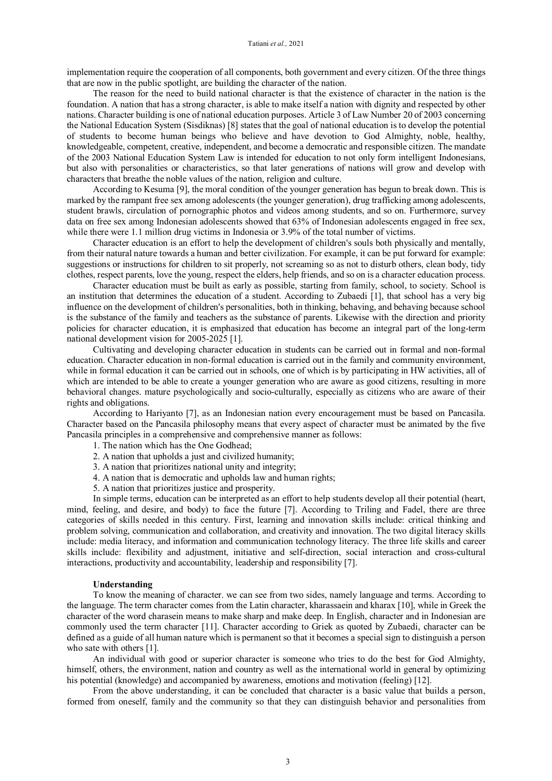implementation require the cooperation of all components, both government and every citizen. Of the three things that are now in the public spotlight, are building the character of the nation.

The reason for the need to build national character is that the existence of character in the nation is the foundation. A nation that has a strong character, is able to make itself a nation with dignity and respected by other nations. Character building is one of national education purposes. Article 3 of Law Number 20 of 2003 concerning the National Education System (Sisdiknas) [8] states that the goal of national education is to develop the potential of students to become human beings who believe and have devotion to God Almighty, noble, healthy, knowledgeable, competent, creative, independent, and become a democratic and responsible citizen. The mandate of the 2003 National Education System Law is intended for education to not only form intelligent Indonesians, but also with personalities or characteristics, so that later generations of nations will grow and develop with characters that breathe the noble values of the nation, religion and culture.

According to Kesuma [9], the moral condition of the younger generation has begun to break down. This is marked by the rampant free sex among adolescents (the younger generation), drug trafficking among adolescents, student brawls, circulation of pornographic photos and videos among students, and so on. Furthermore, survey data on free sex among Indonesian adolescents showed that 63% of Indonesian adolescents engaged in free sex, while there were 1.1 million drug victims in Indonesia or 3.9% of the total number of victims.

Character education is an effort to help the development of children's souls both physically and mentally, from their natural nature towards a human and better civilization. For example, it can be put forward for example: suggestions or instructions for children to sit properly, not screaming so as not to disturb others, clean body, tidy clothes, respect parents, love the young, respect the elders, help friends, and so on is a character education process.

Character education must be built as early as possible, starting from family, school, to society. School is an institution that determines the education of a student. According to Zubaedi [1], that school has a very big influence on the development of children's personalities, both in thinking, behaving, and behaving because school is the substance of the family and teachers as the substance of parents. Likewise with the direction and priority policies for character education, it is emphasized that education has become an integral part of the long-term national development vision for 2005-2025 [1].

Cultivating and developing character education in students can be carried out in formal and non-formal education. Character education in non-formal education is carried out in the family and community environment, while in formal education it can be carried out in schools, one of which is by participating in HW activities, all of which are intended to be able to create a younger generation who are aware as good citizens, resulting in more behavioral changes. mature psychologically and socio-culturally, especially as citizens who are aware of their rights and obligations.

According to Hariyanto [7], as an Indonesian nation every encouragement must be based on Pancasila. Character based on the Pancasila philosophy means that every aspect of character must be animated by the five Pancasila principles in a comprehensive and comprehensive manner as follows:

- 1. The nation which has the One Godhead;
- 2. A nation that upholds a just and civilized humanity;
- 3. A nation that prioritizes national unity and integrity;
- 4. A nation that is democratic and upholds law and human rights;
- 5. A nation that prioritizes justice and prosperity.

In simple terms, education can be interpreted as an effort to help students develop all their potential (heart, mind, feeling, and desire, and body) to face the future [7]. According to Triling and Fadel, there are three categories of skills needed in this century. First, learning and innovation skills include: critical thinking and problem solving, communication and collaboration, and creativity and innovation. The two digital literacy skills include: media literacy, and information and communication technology literacy. The three life skills and career skills include: flexibility and adjustment, initiative and self-direction, social interaction and cross-cultural interactions, productivity and accountability, leadership and responsibility [7].

#### **Understanding**

To know the meaning of character. we can see from two sides, namely language and terms. According to the language. The term character comes from the Latin character, kharassaein and kharax [10], while in Greek the character of the word charasein means to make sharp and make deep. In English, character and in Indonesian are commonly used the term character [11]. Character according to Griek as quoted by Zubaedi, character can be defined as a guide of all human nature which is permanent so that it becomes a special sign to distinguish a person who sate with others [1].

An individual with good or superior character is someone who tries to do the best for God Almighty, himself, others, the environment, nation and country as well as the international world in general by optimizing his potential (knowledge) and accompanied by awareness, emotions and motivation (feeling) [12].

From the above understanding, it can be concluded that character is a basic value that builds a person, formed from oneself, family and the community so that they can distinguish behavior and personalities from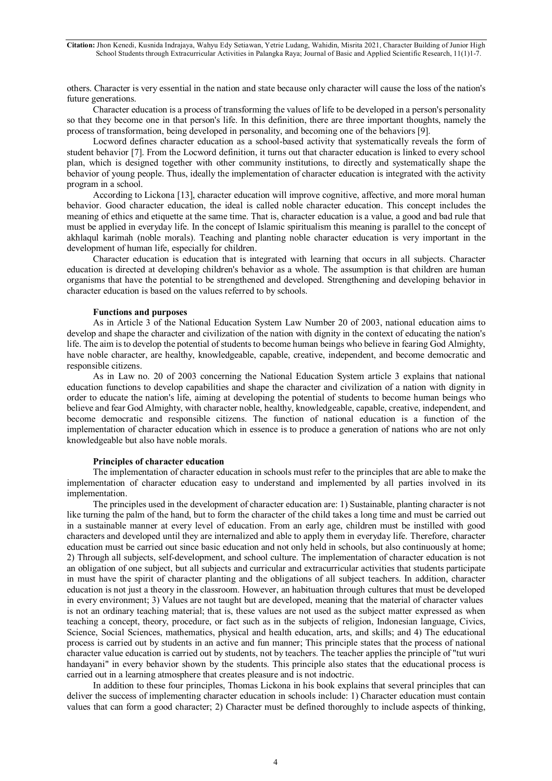others. Character is very essential in the nation and state because only character will cause the loss of the nation's future generations.

Character education is a process of transforming the values of life to be developed in a person's personality so that they become one in that person's life. In this definition, there are three important thoughts, namely the process of transformation, being developed in personality, and becoming one of the behaviors [9].

Locword defines character education as a school-based activity that systematically reveals the form of student behavior [7]. From the Locword definition, it turns out that character education is linked to every school plan, which is designed together with other community institutions, to directly and systematically shape the behavior of young people. Thus, ideally the implementation of character education is integrated with the activity program in a school.

According to Lickona [13], character education will improve cognitive, affective, and more moral human behavior. Good character education, the ideal is called noble character education. This concept includes the meaning of ethics and etiquette at the same time. That is, character education is a value, a good and bad rule that must be applied in everyday life. In the concept of Islamic spiritualism this meaning is parallel to the concept of akhlaqul karimah (noble morals). Teaching and planting noble character education is very important in the development of human life, especially for children.

Character education is education that is integrated with learning that occurs in all subjects. Character education is directed at developing children's behavior as a whole. The assumption is that children are human organisms that have the potential to be strengthened and developed. Strengthening and developing behavior in character education is based on the values referred to by schools.

## **Functions and purposes**

As in Article 3 of the National Education System Law Number 20 of 2003, national education aims to develop and shape the character and civilization of the nation with dignity in the context of educating the nation's life. The aim is to develop the potential of students to become human beings who believe in fearing God Almighty, have noble character, are healthy, knowledgeable, capable, creative, independent, and become democratic and responsible citizens.

As in Law no. 20 of 2003 concerning the National Education System article 3 explains that national education functions to develop capabilities and shape the character and civilization of a nation with dignity in order to educate the nation's life, aiming at developing the potential of students to become human beings who believe and fear God Almighty, with character noble, healthy, knowledgeable, capable, creative, independent, and become democratic and responsible citizens. The function of national education is a function of the implementation of character education which in essence is to produce a generation of nations who are not only knowledgeable but also have noble morals.

# **Principles of character education**

The implementation of character education in schools must refer to the principles that are able to make the implementation of character education easy to understand and implemented by all parties involved in its implementation.

The principles used in the development of character education are: 1) Sustainable, planting character is not like turning the palm of the hand, but to form the character of the child takes a long time and must be carried out in a sustainable manner at every level of education. From an early age, children must be instilled with good characters and developed until they are internalized and able to apply them in everyday life. Therefore, character education must be carried out since basic education and not only held in schools, but also continuously at home; 2) Through all subjects, self-development, and school culture. The implementation of character education is not an obligation of one subject, but all subjects and curricular and extracurricular activities that students participate in must have the spirit of character planting and the obligations of all subject teachers. In addition, character education is not just a theory in the classroom. However, an habituation through cultures that must be developed in every environment; 3) Values are not taught but are developed, meaning that the material of character values is not an ordinary teaching material; that is, these values are not used as the subject matter expressed as when teaching a concept, theory, procedure, or fact such as in the subjects of religion, Indonesian language, Civics, Science, Social Sciences, mathematics, physical and health education, arts, and skills; and 4) The educational process is carried out by students in an active and fun manner; This principle states that the process of national character value education is carried out by students, not by teachers. The teacher applies the principle of "tut wuri handayani" in every behavior shown by the students. This principle also states that the educational process is carried out in a learning atmosphere that creates pleasure and is not indoctric.

In addition to these four principles, Thomas Lickona in his book explains that several principles that can deliver the success of implementing character education in schools include: 1) Character education must contain values that can form a good character; 2) Character must be defined thoroughly to include aspects of thinking,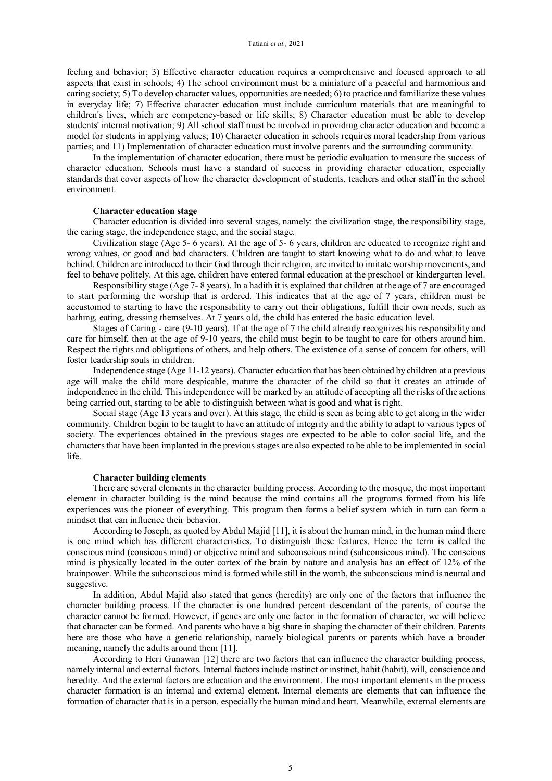feeling and behavior; 3) Effective character education requires a comprehensive and focused approach to all aspects that exist in schools; 4) The school environment must be a miniature of a peaceful and harmonious and caring society; 5) To develop character values, opportunities are needed; 6) to practice and familiarize these values in everyday life; 7) Effective character education must include curriculum materials that are meaningful to children's lives, which are competency-based or life skills; 8) Character education must be able to develop students' internal motivation; 9) All school staff must be involved in providing character education and become a model for students in applying values; 10) Character education in schools requires moral leadership from various parties; and 11) Implementation of character education must involve parents and the surrounding community.

In the implementation of character education, there must be periodic evaluation to measure the success of character education. Schools must have a standard of success in providing character education, especially standards that cover aspects of how the character development of students, teachers and other staff in the school environment.

# **Character education stage**

Character education is divided into several stages, namely: the civilization stage, the responsibility stage, the caring stage, the independence stage, and the social stage.

Civilization stage (Age 5- 6 years). At the age of 5- 6 years, children are educated to recognize right and wrong values, or good and bad characters. Children are taught to start knowing what to do and what to leave behind. Children are introduced to their God through their religion, are invited to imitate worship movements, and feel to behave politely. At this age, children have entered formal education at the preschool or kindergarten level.

Responsibility stage (Age 7- 8 years). In a hadith it is explained that children at the age of 7 are encouraged to start performing the worship that is ordered. This indicates that at the age of 7 years, children must be accustomed to starting to have the responsibility to carry out their obligations, fulfill their own needs, such as bathing, eating, dressing themselves. At 7 years old, the child has entered the basic education level.

Stages of Caring - care (9-10 years). If at the age of 7 the child already recognizes his responsibility and care for himself, then at the age of 9-10 years, the child must begin to be taught to care for others around him. Respect the rights and obligations of others, and help others. The existence of a sense of concern for others, will foster leadership souls in children.

Independence stage (Age 11-12 years). Character education that has been obtained by children at a previous age will make the child more despicable, mature the character of the child so that it creates an attitude of independence in the child. This independence will be marked by an attitude of accepting all the risks of the actions being carried out, starting to be able to distinguish between what is good and what is right.

Social stage (Age 13 years and over). At this stage, the child is seen as being able to get along in the wider community. Children begin to be taught to have an attitude of integrity and the ability to adapt to various types of society. The experiences obtained in the previous stages are expected to be able to color social life, and the characters that have been implanted in the previous stages are also expected to be able to be implemented in social life.

#### **Character building elements**

There are several elements in the character building process. According to the mosque, the most important element in character building is the mind because the mind contains all the programs formed from his life experiences was the pioneer of everything. This program then forms a belief system which in turn can form a mindset that can influence their behavior.

According to Joseph, as quoted by Abdul Majid [11], it is about the human mind, in the human mind there is one mind which has different characteristics. To distinguish these features. Hence the term is called the conscious mind (consicous mind) or objective mind and subconscious mind (suhconsicous mind). The conscious mind is physically located in the outer cortex of the brain by nature and analysis has an effect of 12% of the brainpower. While the subconscious mind is formed while still in the womb, the subconscious mind is neutral and suggestive.

In addition, Abdul Majid also stated that genes (heredity) are only one of the factors that influence the character building process. If the character is one hundred percent descendant of the parents, of course the character cannot be formed. However, if genes are only one factor in the formation of character, we will believe that character can be formed. And parents who have a big share in shaping the character of their children. Parents here are those who have a genetic relationship, namely biological parents or parents which have a broader meaning, namely the adults around them [11].

According to Heri Gunawan [12] there are two factors that can influence the character building process, namely internal and external factors. Internal factors include instinct or instinct, habit (habit), will, conscience and heredity. And the external factors are education and the environment. The most important elements in the process character formation is an internal and external element. Internal elements are elements that can influence the formation of character that is in a person, especially the human mind and heart. Meanwhile, external elements are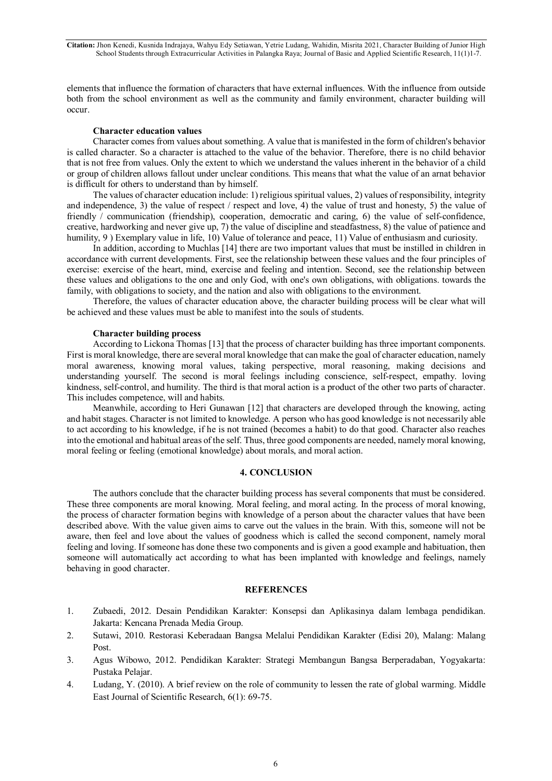**Citation:** Jhon Kenedi, Kusnida Indrajaya, Wahyu Edy Setiawan, Yetrie Ludang, Wahidin, Misrita 2021, Character Building of Junior High School Students through Extracurricular Activities in Palangka Raya; Journal of Basic and Applied Scientific Research, 11(1)1-7.

elements that influence the formation of characters that have external influences. With the influence from outside both from the school environment as well as the community and family environment, character building will occur.

# **Character education values**

Character comes from values about something. A value that is manifested in the form of children's behavior is called character. So a character is attached to the value of the behavior. Therefore, there is no child behavior that is not free from values. Only the extent to which we understand the values inherent in the behavior of a child or group of children allows fallout under unclear conditions. This means that what the value of an arnat behavior is difficult for others to understand than by himself.

The values of character education include: 1) religious spiritual values, 2) values of responsibility, integrity and independence, 3) the value of respect / respect and love, 4) the value of trust and honesty, 5) the value of friendly / communication (friendship), cooperation, democratic and caring, 6) the value of self-confidence, creative, hardworking and never give up, 7) the value of discipline and steadfastness, 8) the value of patience and humility, 9 ) Exemplary value in life, 10) Value of tolerance and peace, 11) Value of enthusiasm and curiosity.

In addition, according to Muchlas [14] there are two important values that must be instilled in children in accordance with current developments. First, see the relationship between these values and the four principles of exercise: exercise of the heart, mind, exercise and feeling and intention. Second, see the relationship between these values and obligations to the one and only God, with one's own obligations, with obligations. towards the family, with obligations to society, and the nation and also with obligations to the environment.

Therefore, the values of character education above, the character building process will be clear what will be achieved and these values must be able to manifest into the souls of students.

#### **Character building process**

According to Lickona Thomas [13] that the process of character building has three important components. First is moral knowledge, there are several moral knowledge that can make the goal of character education, namely moral awareness, knowing moral values, taking perspective, moral reasoning, making decisions and understanding yourself. The second is moral feelings including conscience, self-respect, empathy. loving kindness, self-control, and humility. The third is that moral action is a product of the other two parts of character. This includes competence, will and habits.

Meanwhile, according to Heri Gunawan [12] that characters are developed through the knowing, acting and habit stages. Character is not limited to knowledge. A person who has good knowledge is not necessarily able to act according to his knowledge, if he is not trained (becomes a habit) to do that good. Character also reaches into the emotional and habitual areas of the self. Thus, three good components are needed, namely moral knowing, moral feeling or feeling (emotional knowledge) about morals, and moral action.

## **4. CONCLUSION**

The authors conclude that the character building process has several components that must be considered. These three components are moral knowing. Moral feeling, and moral acting. In the process of moral knowing, the process of character formation begins with knowledge of a person about the character values that have been described above. With the value given aims to carve out the values in the brain. With this, someone will not be aware, then feel and love about the values of goodness which is called the second component, namely moral feeling and loving. If someone has done these two components and is given a good example and habituation, then someone will automatically act according to what has been implanted with knowledge and feelings, namely behaving in good character.

### **REFERENCES**

- 1. Zubaedi, 2012. Desain Pendidikan Karakter: Konsepsi dan Aplikasinya dalam lembaga pendidikan. Jakarta: Kencana Prenada Media Group.
- 2. Sutawi, 2010. Restorasi Keberadaan Bangsa Melalui Pendidikan Karakter (Edisi 20), Malang: Malang Post.
- 3. Agus Wibowo, 2012. Pendidikan Karakter: Strategi Membangun Bangsa Berperadaban, Yogyakarta: Pustaka Pelajar.
- 4. Ludang, Y. (2010). A brief review on the role of community to lessen the rate of global warming. Middle East Journal of Scientific Research, 6(1): 69-75.